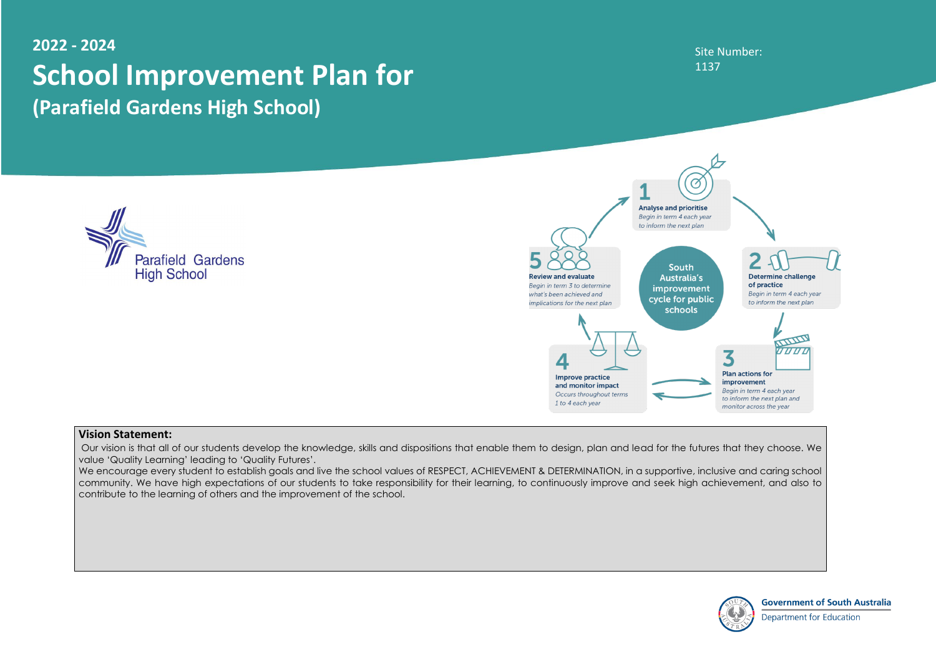#### Site Number: 1137



**Government of South Australia Department for Education** 

## **2022 - 2024 School Improvement Plan for (Parafield Gardens High School)**





#### **Vision Statement:**

Our vision is that all of our students develop the knowledge, skills and dispositions that enable them to design, plan and lead for the futures that they choose. We value 'Quality Learning' leading to 'Quality Futures'.

We encourage every student to establish goals and live the school values of RESPECT, ACHIEVEMENT & DETERMINATION, in a supportive, inclusive and caring school community. We have high expectations of our students to take responsibility for their learning, to continuously improve and seek high achievement, and also to contribute to the learning of others and the improvement of the school.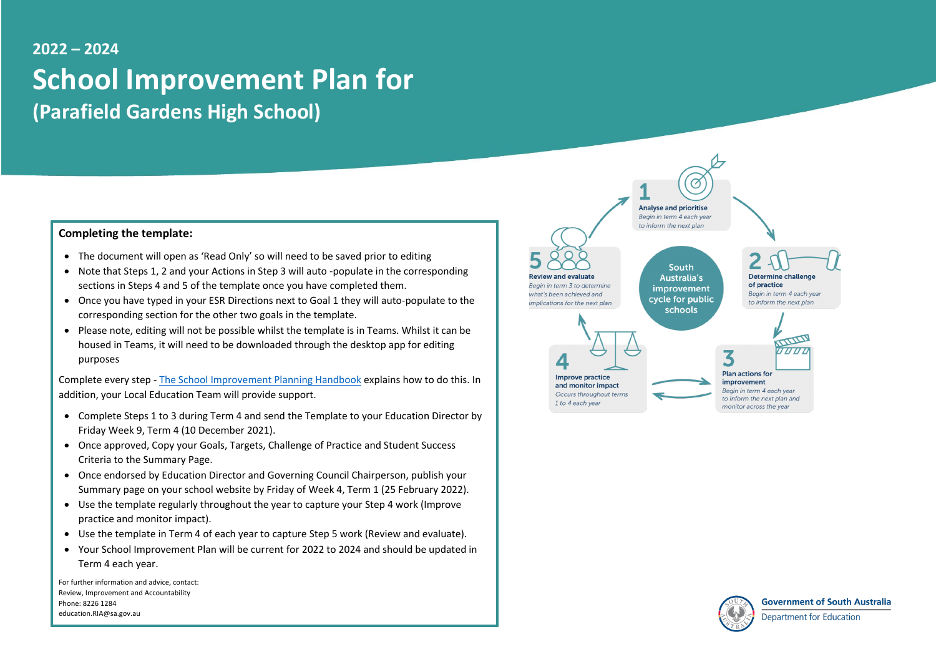# **2022 – 2024 School Improvement Plan for (Parafield Gardens High School)**

#### **Completing the template:**

- The document will open as 'Read Only' so will need to be saved prior to editing
- Note that Steps 1, 2 and your Actions in Step 3 will auto -populate in the corresponding sections in Steps 4 and 5 of the template once you have completed them.
- Once you have typed in your ESR Directions next to Goal 1 they will auto-populate to the corresponding section for the other two goals in the template.
- Please note, editing will not be possible whilst the template is in Teams. Whilst it can be housed in Teams, it will need to be downloaded through the desktop app for editing purposes

Complete every step - [The School Improvement Planning Handbook](https://edi.sa.edu.au/educating/school-improvement/about-school-improvement/planning-templates-and-resources) explains how to do this. In addition, your Local Education Team will provide support.

- Complete Steps 1 to 3 during Term 4 and send the Template to your Education Director by Friday Week 9, Term 4 (10 December 2021).
- Once approved, Copy your Goals, Targets, Challenge of Practice and Student Success Criteria to the Summary Page.
- Once endorsed by Education Director and Governing Council Chairperson, publish your Summary page on your school website by Friday of Week 4, Term 1 (25 February 2022).
- Use the template regularly throughout the year to capture your Step 4 work (Improve practice and monitor impact).
- Use the template in Term 4 of each year to capture Step 5 work (Review and evaluate).
- Your School Improvement Plan will be current for 2022 to 2024 and should be updated in Term 4 each year.

For further information and advice, contact: Review, Improvement and Accountability Phone: 8226 1284 education.RIA@sa.gov.au

Begin in term 3 to determine

implications for the next plan

what's been achieved and

**South Australia's** improvement cycle for public schools

to inform the next plan

Ø



Improve practice and monitor impact Occurs throughout terms 1 to 4 each year



to inform the next plan and

monitor across the year



**Government of South Australia** 

Department for Education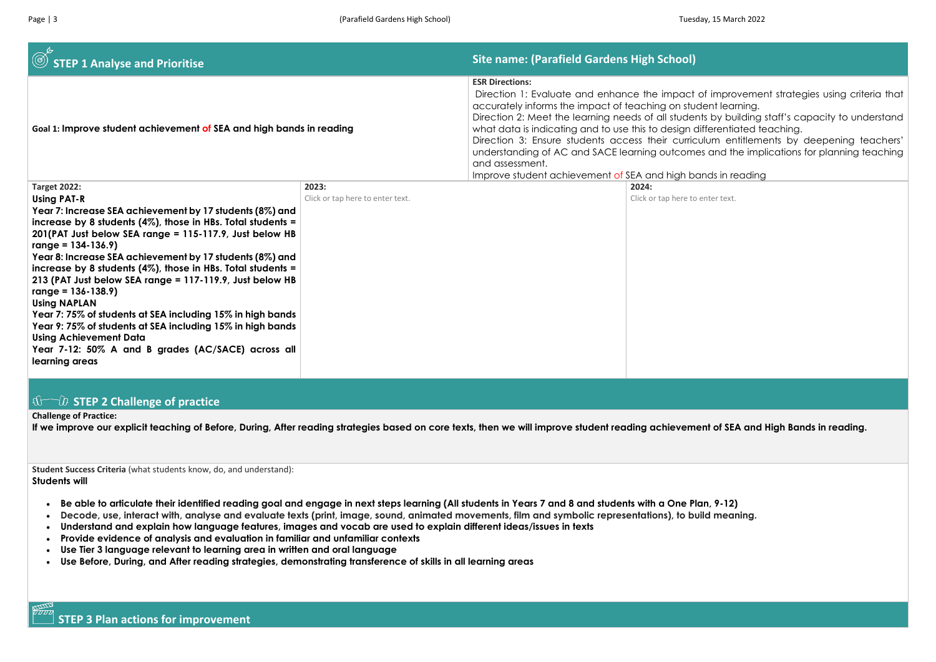| $\circledcirc$<br><b>STEP 1 Analyse and Prioritise</b>                                                                                                                                                                                                                                                                                                                                                                                                                                                                                                                                                                                                                                                                                       |                                           | <b>Site name: (Parafield Gardens High School)</b>                                                                                                                                                                                                                                                                                                                                                                                      |                                  |
|----------------------------------------------------------------------------------------------------------------------------------------------------------------------------------------------------------------------------------------------------------------------------------------------------------------------------------------------------------------------------------------------------------------------------------------------------------------------------------------------------------------------------------------------------------------------------------------------------------------------------------------------------------------------------------------------------------------------------------------------|-------------------------------------------|----------------------------------------------------------------------------------------------------------------------------------------------------------------------------------------------------------------------------------------------------------------------------------------------------------------------------------------------------------------------------------------------------------------------------------------|----------------------------------|
| Goal 1: Improve student achievement of SEA and high bands in reading                                                                                                                                                                                                                                                                                                                                                                                                                                                                                                                                                                                                                                                                         |                                           | <b>ESR Directions:</b><br>Direction 1: Evaluate and enhance the impact of<br>accurately informs the impact of teaching on stude<br>Direction 2: Meet the learning needs of all students<br>what data is indicating and to use this to design different<br>Direction 3: Ensure students access their curriculu<br>understanding of AC and SACE learning outcomes<br>and assessment.<br>Improve student achievement of SEA and high bane |                                  |
| <b>Target 2022:</b><br><b>Using PAT-R</b><br>Year 7: Increase SEA achievement by 17 students (8%) and<br>increase by 8 students $(4\%)$ , those in HBs. Total students =<br>201(PAT Just below SEA range = 115-117.9, Just below HB<br>range = $134-136.9$ )<br>Year 8: Increase SEA achievement by 17 students (8%) and<br>increase by 8 students $(4\%)$ , those in HBs. Total students =<br>213 (PAT Just below SEA range = 117-119.9, Just below HB<br>$range = 136 - 138.9$<br><b>Using NAPLAN</b><br>Year 7: 75% of students at SEA including 15% in high bands<br>Year 9: 75% of students at SEA including 15% in high bands<br><b>Using Achievement Data</b><br>Year 7-12: 50% A and B grades (AC/SACE) across all<br>learning areas | 2023:<br>Click or tap here to enter text. |                                                                                                                                                                                                                                                                                                                                                                                                                                        | 2024:<br>Click or tap here to en |

#### **STEP 2 Challenge of practice**

#### **Challenge of Practice:**

**If we improve our explicit teaching of Before, During, After reading strategies based on core texts, then we will improve student reading achievement of SEA and High Bands in reading.** 

**Student Success Criteria** (what students know, do, and understand): **Students will**

- **Be able to articulate their identified reading goal and engage in next steps learning (All students in Years 7 and 8 and students with a One Plan, 9-12)**
- **Decode, use, interact with, analyse and evaluate texts (print, image, sound, animated movements, film and symbolic representations), to build meaning.**
- **Understand and explain how language features, images and vocab are used to explain different ideas/issues in texts**
- **Provide evidence of analysis and evaluation in familiar and unfamiliar contexts**
- **Use Tier 3 language relevant to learning area in written and oral language**
- **Use Before, During, and After reading strategies, demonstrating transference of skills in all learning areas**

improvement strategies using criteria that nt learning.

by building staff's capacity to understand erentiated teaching.

Jm entitlements by deepening teachers' and the implications for planning teaching

ds in reading

ter text.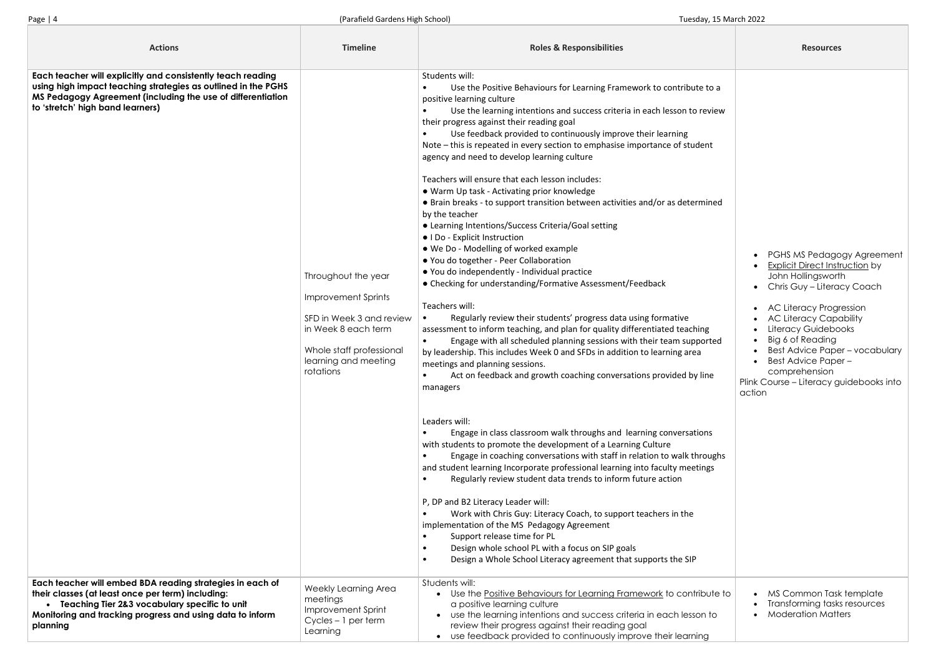| <b>Actions</b>                                                                                                                                                                                                                             | <b>Timeline</b>                                                                                                                                                       | <b>Roles &amp; Responsibilities</b>                                                                                                                                                                                                                                                                                                                                                                                                                                                                                                                                                                                                                                                                                                                                                                                                                                                                                                                                                                                                                                                                                                                                                                                                                                                                                                                                                                                                                                                                                                                                                                                                                                                                                                                                                                                                                                                                                                                                                                                                                                                                                   | <b>Resources</b>                                                                                                                                                                                                                                                                                          |
|--------------------------------------------------------------------------------------------------------------------------------------------------------------------------------------------------------------------------------------------|-----------------------------------------------------------------------------------------------------------------------------------------------------------------------|-----------------------------------------------------------------------------------------------------------------------------------------------------------------------------------------------------------------------------------------------------------------------------------------------------------------------------------------------------------------------------------------------------------------------------------------------------------------------------------------------------------------------------------------------------------------------------------------------------------------------------------------------------------------------------------------------------------------------------------------------------------------------------------------------------------------------------------------------------------------------------------------------------------------------------------------------------------------------------------------------------------------------------------------------------------------------------------------------------------------------------------------------------------------------------------------------------------------------------------------------------------------------------------------------------------------------------------------------------------------------------------------------------------------------------------------------------------------------------------------------------------------------------------------------------------------------------------------------------------------------------------------------------------------------------------------------------------------------------------------------------------------------------------------------------------------------------------------------------------------------------------------------------------------------------------------------------------------------------------------------------------------------------------------------------------------------------------------------------------------------|-----------------------------------------------------------------------------------------------------------------------------------------------------------------------------------------------------------------------------------------------------------------------------------------------------------|
| Each teacher will explicitly and consistently teach reading<br>using high impact teaching strategies as outlined in the PGHS<br>MS Pedagogy Agreement (including the use of differentiation<br>to 'stretch' high band learners)            | Throughout the year<br><b>Improvement Sprints</b><br>SFD in Week 3 and review<br>in Week 8 each term<br>Whole staff professional<br>learning and meeting<br>rotations | Students will:<br>Use the Positive Behaviours for Learning Framework to contribute to a<br>positive learning culture<br>Use the learning intentions and success criteria in each lesson to review<br>their progress against their reading goal<br>Use feedback provided to continuously improve their learning<br>Note – this is repeated in every section to emphasise importance of student<br>agency and need to develop learning culture<br>Teachers will ensure that each lesson includes:<br>• Warm Up task - Activating prior knowledge<br>• Brain breaks - to support transition between activities and/or as determined<br>by the teacher<br>• Learning Intentions/Success Criteria/Goal setting<br>• I Do - Explicit Instruction<br>• We Do - Modelling of worked example<br>● You do together - Peer Collaboration<br>• You do independently - Individual practice<br>• Checking for understanding/Formative Assessment/Feedback<br>Teachers will:<br>Regularly review their students' progress data using formative<br>assessment to inform teaching, and plan for quality differentiated teaching<br>Engage with all scheduled planning sessions with their team supported<br>by leadership. This includes Week 0 and SFDs in addition to learning area<br>meetings and planning sessions.<br>Act on feedback and growth coaching conversations provided by line<br>managers<br>Leaders will:<br>Engage in class classroom walk throughs and learning conversations<br>with students to promote the development of a Learning Culture<br>Engage in coaching conversations with staff in relation to walk throughs<br>$\bullet$<br>and student learning Incorporate professional learning into faculty meetings<br>Regularly review student data trends to inform future action<br>P, DP and B2 Literacy Leader will:<br>Work with Chris Guy: Literacy Coach, to support teachers in the<br>implementation of the MS Pedagogy Agreement<br>Support release time for PL<br>Design whole school PL with a focus on SIP goals<br>Design a Whole School Literacy agreement that supports the SIP<br>$\bullet$ | <b>PGHS MS Pedago</b><br><b>Explicit Direct Instr</b><br>John Hollingswort<br>• Chris Guy - Litera<br>AC Literacy Progr<br><b>AC Literacy Capa</b><br>Literacy Guidebo<br>Big 6 of Reading<br><b>Best Advice Pape</b><br><b>Best Advice Pape</b><br>comprehension<br>Plink Course - Literacy gr<br>action |
| Each teacher will embed BDA reading strategies in each of<br>their classes (at least once per term) including:<br>• Teaching Tier 2&3 vocabulary specific to unit<br>Monitoring and tracking progress and using data to inform<br>planning | Weekly Learning Area<br>meetings<br>Improvement Sprint<br>$Cycles - 1 per term$<br>Learning                                                                           | Students will:<br>• Use the Positive Behaviours for Learning Framework to contribute to<br>a positive learning culture<br>use the learning intentions and success criteria in each lesson to<br>review their progress against their reading goal<br>use feedback provided to continuously improve their learning                                                                                                                                                                                                                                                                                                                                                                                                                                                                                                                                                                                                                                                                                                                                                                                                                                                                                                                                                                                                                                                                                                                                                                                                                                                                                                                                                                                                                                                                                                                                                                                                                                                                                                                                                                                                      | MS Common Task<br>Transforming tasks<br><b>Moderation Matte</b>                                                                                                                                                                                                                                           |

|                                | <b>Resources</b>                                                                                                                                                                                                                                                                                                                                                                               |
|--------------------------------|------------------------------------------------------------------------------------------------------------------------------------------------------------------------------------------------------------------------------------------------------------------------------------------------------------------------------------------------------------------------------------------------|
| to a<br>view                   |                                                                                                                                                                                                                                                                                                                                                                                                |
| ٦t                             |                                                                                                                                                                                                                                                                                                                                                                                                |
| ined                           |                                                                                                                                                                                                                                                                                                                                                                                                |
| rted<br>٦e<br>າຣ<br>ughs<br>gs | PGHS MS Pedagogy Agreement<br><b>Explicit Direct Instruction by</b><br>John Hollingsworth<br>Chris Guy - Literacy Coach<br><b>AC Literacy Progression</b><br><b>AC Literacy Capability</b><br>Literacy Guidebooks<br>Big 6 of Reading<br>$\bullet$<br><b>Best Advice Paper - vocabulary</b><br><b>Best Advice Paper-</b><br>comprehension<br>Plink Course - Literacy guidebooks into<br>action |
| ute to<br>to                   | MS Common Task template<br>Transforming tasks resources<br><b>Moderation Matters</b>                                                                                                                                                                                                                                                                                                           |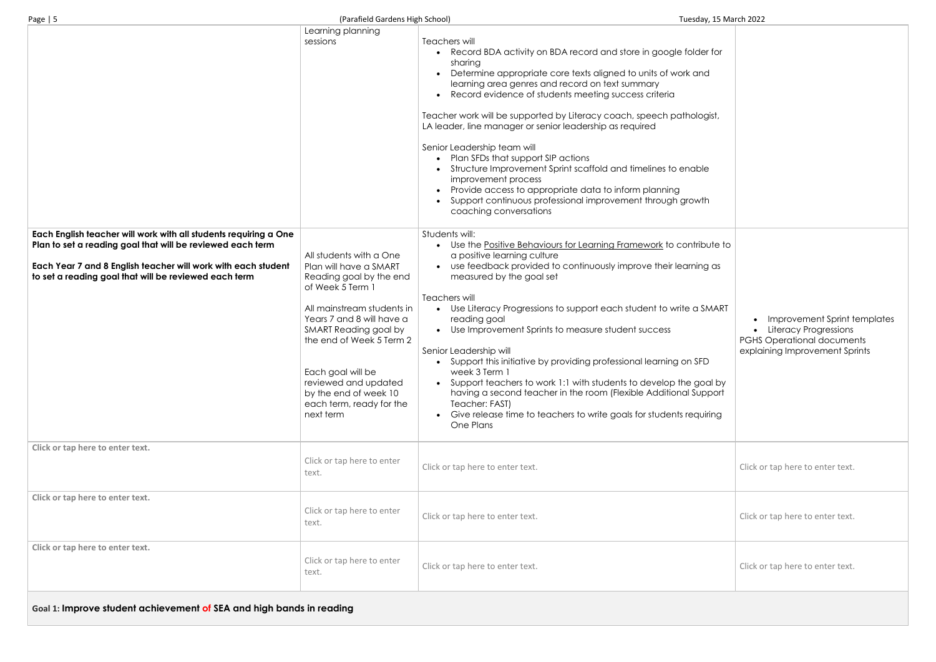| ۰0۰<br>٦ |  |
|----------|--|
|          |  |

| for<br>ł                  |                                                                                                                              |
|---------------------------|------------------------------------------------------------------------------------------------------------------------------|
| jist,                     |                                                                                                                              |
|                           |                                                                                                                              |
| ١                         |                                                                                                                              |
| ute to<br>as              |                                                                                                                              |
| <b>MART</b>               | Improvement Sprint templates<br>Literacy Progressions<br><b>PGHS Operational documents</b><br>explaining Improvement Sprints |
| )<br>yd Ic<br>port<br>ing |                                                                                                                              |
|                           | Click or tap here to enter text.                                                                                             |
|                           | Click or tap here to enter text.                                                                                             |
|                           | Click or tap here to enter text.                                                                                             |
|                           |                                                                                                                              |

|                                                                                                                                                                                                                                                          | Learning planning<br>sessions                                                                                                                                                                                                                                                                                                   | Teachers will<br>Record BDA activity on BDA record and store in google folder for<br>sharing<br>Determine appropriate core texts aligned to units of work and<br>learning area genres and record on text summary<br>Record evidence of students meeting success criteria<br>Teacher work will be supported by Literacy coach, speech pathologist,<br>LA leader, line manager or senior leadership as required<br>Senior Leadership team will<br>Plan SFDs that support SIP actions<br>Structure Improvement Sprint scaffold and timelines to enable<br>improvement process<br>Provide access to appropriate data to inform planning<br>Support continuous professional improvement through growth<br>coaching conversations                                 |                                                                                                                            |
|----------------------------------------------------------------------------------------------------------------------------------------------------------------------------------------------------------------------------------------------------------|---------------------------------------------------------------------------------------------------------------------------------------------------------------------------------------------------------------------------------------------------------------------------------------------------------------------------------|-------------------------------------------------------------------------------------------------------------------------------------------------------------------------------------------------------------------------------------------------------------------------------------------------------------------------------------------------------------------------------------------------------------------------------------------------------------------------------------------------------------------------------------------------------------------------------------------------------------------------------------------------------------------------------------------------------------------------------------------------------------|----------------------------------------------------------------------------------------------------------------------------|
| Each English teacher will work with all students requiring a One<br>Plan to set a reading goal that will be reviewed each term<br>Each Year 7 and 8 English teacher will work with each student<br>to set a reading goal that will be reviewed each term | All students with a One<br>Plan will have a SMART<br>Reading goal by the end<br>of Week 5 Term 1<br>All mainstream students in<br>Years 7 and 8 will have a<br>SMART Reading goal by<br>the end of Week 5 Term 2<br>Each goal will be<br>reviewed and updated<br>by the end of week 10<br>each term, ready for the<br>next term | Students will:<br>• Use the Positive Behaviours for Learning Framework to contribute to<br>a positive learning culture<br>• use feedback provided to continuously improve their learning as<br>measured by the goal set<br>Teachers will<br>• Use Literacy Progressions to support each student to write a SMART<br>reading goal<br>• Use Improvement Sprints to measure student success<br>Senior Leadership will<br>Support this initiative by providing professional learning on SFD<br>week 3 Term 1<br>• Support teachers to work 1:1 with students to develop the goal by<br>having a second teacher in the room (Flexible Additional Support<br>Teacher: FAST)<br>• Give release time to teachers to write goals for students requiring<br>One Plans | <b>Improvement Sprint t</b><br><b>Literacy Progressions</b><br><b>PGHS Operational docume</b><br>explaining Improvement Sp |
| Click or tap here to enter text.                                                                                                                                                                                                                         | Click or tap here to enter<br>text.                                                                                                                                                                                                                                                                                             | Click or tap here to enter text.                                                                                                                                                                                                                                                                                                                                                                                                                                                                                                                                                                                                                                                                                                                            | Click or tap here to enter text.                                                                                           |
| Click or tap here to enter text.                                                                                                                                                                                                                         | Click or tap here to enter<br>text.                                                                                                                                                                                                                                                                                             | Click or tap here to enter text.                                                                                                                                                                                                                                                                                                                                                                                                                                                                                                                                                                                                                                                                                                                            | Click or tap here to enter text.                                                                                           |
| Click or tap here to enter text.                                                                                                                                                                                                                         | Click or tap here to enter<br>text.                                                                                                                                                                                                                                                                                             | Click or tap here to enter text.                                                                                                                                                                                                                                                                                                                                                                                                                                                                                                                                                                                                                                                                                                                            | Click or tap here to enter text.                                                                                           |

**Goal 1: Improve student achievement of SEA and high bands in reading**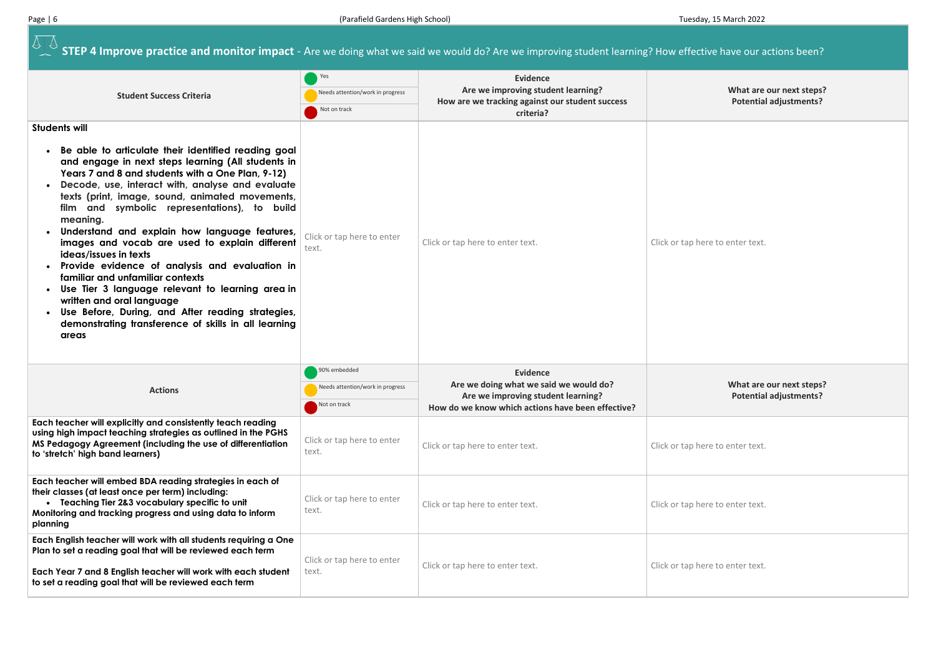**ATA STEP 4 Improve practice and monitor impact** - Are we doing what we said we would do? Are we improving student learning? How effective have our actions been?

**What are our next steps? Potential adjustments?**

ere to enter text.

| <b>Student Success Criteria</b>                                                                                                                                                                                                                                                                                                                                                                                                                                                                                                                                                                                                                                                                                                                                                    | Yes<br>Needs attention/work in progress<br>Not on track          | <b>Evidence</b><br>Are we improving student learning?<br>How are we tracking against our student success<br>criteria?                                |                 |
|------------------------------------------------------------------------------------------------------------------------------------------------------------------------------------------------------------------------------------------------------------------------------------------------------------------------------------------------------------------------------------------------------------------------------------------------------------------------------------------------------------------------------------------------------------------------------------------------------------------------------------------------------------------------------------------------------------------------------------------------------------------------------------|------------------------------------------------------------------|------------------------------------------------------------------------------------------------------------------------------------------------------|-----------------|
| <b>Students will</b><br>Be able to articulate their identified reading goal<br>and engage in next steps learning (All students in<br>Years 7 and 8 and students with a One Plan, 9-12)<br>Decode, use, interact with, analyse and evaluate<br>texts (print, image, sound, animated movements,<br>film and symbolic representations), to build<br>meaning.<br>Understand and explain how language features,<br>images and vocab are used to explain different<br>ideas/issues in texts<br>Provide evidence of analysis and evaluation in<br>familiar and unfamiliar contexts<br>Use Tier 3 language relevant to learning area in<br>written and oral language<br>Use Before, During, and After reading strategies,<br>demonstrating transference of skills in all learning<br>areas | Click or tap here to enter<br>text.                              | Click or tap here to enter text.                                                                                                                     | Click or tap he |
| <b>Actions</b>                                                                                                                                                                                                                                                                                                                                                                                                                                                                                                                                                                                                                                                                                                                                                                     | 90% embedded<br>Needs attention/work in progress<br>Not on track | <b>Evidence</b><br>Are we doing what we said we would do?<br>Are we improving student learning?<br>How do we know which actions have been effective? |                 |
| Each teacher will explicitly and consistently teach reading<br>using high impact teaching strategies as outlined in the PGHS<br>MS Pedagogy Agreement (including the use of differentiation<br>to 'stretch' high band learners)                                                                                                                                                                                                                                                                                                                                                                                                                                                                                                                                                    | Click or tap here to enter<br>text.                              | Click or tap here to enter text.                                                                                                                     | Click or tap he |
| Each teacher will embed BDA reading strategies in each of<br>their classes (at least once per term) including:<br>• Teaching Tier 2&3 vocabulary specific to unit<br>Monitoring and tracking progress and using data to inform<br>planning                                                                                                                                                                                                                                                                                                                                                                                                                                                                                                                                         | Click or tap here to enter<br>text.                              | Click or tap here to enter text.                                                                                                                     | Click or tap he |
| Each English teacher will work with all students requiring a One<br>Plan to set a reading goal that will be reviewed each term<br>Each Year 7 and 8 English teacher will work with each student<br>to set a reading goal that will be reviewed each term                                                                                                                                                                                                                                                                                                                                                                                                                                                                                                                           | Click or tap here to enter<br>text.                              | Click or tap here to enter text.                                                                                                                     | Click or tap he |

#### **What are our next steps? Potential adjustments?**

ere to enter text.

ere to enter text.

ere to enter text.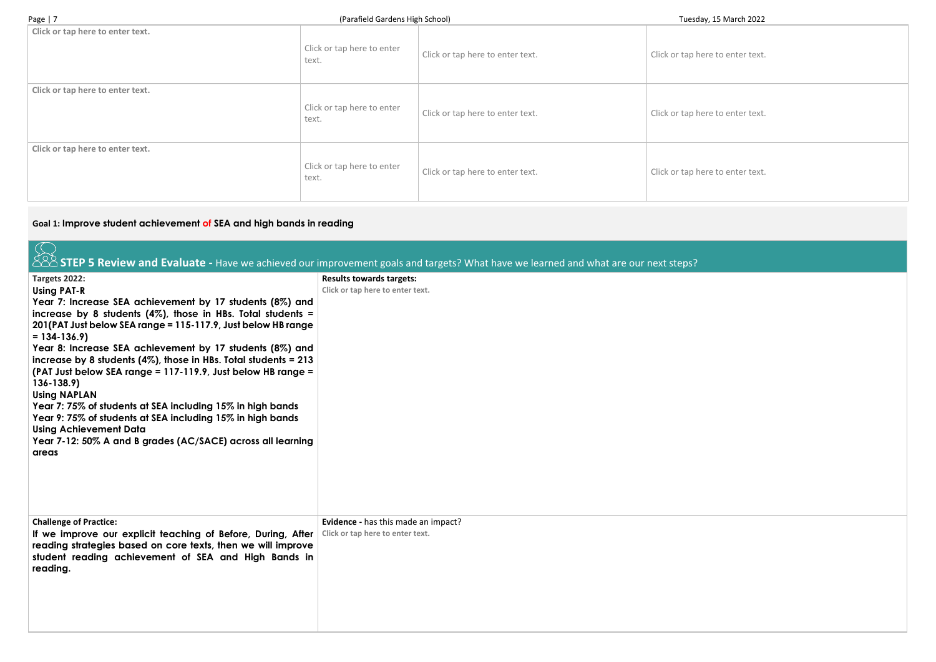| Page $ 7$                        | (Parafield Gardens High School)     |                                  | Tuesday, 15 March 2022           |  |
|----------------------------------|-------------------------------------|----------------------------------|----------------------------------|--|
| Click or tap here to enter text. | Click or tap here to enter<br>text. | Click or tap here to enter text. | Click or tap here to enter text. |  |
| Click or tap here to enter text. | Click or tap here to enter<br>text. | Click or tap here to enter text. | Click or tap here to enter text  |  |
| Click or tap here to enter text. | Click or tap here to enter<br>text. | Click or tap here to enter text. | Click or tap here to enter text  |  |

## **Goal 1: Improve student achievement of SEA and high bands in reading**

|                                                                                                                                                                                                                                                                                                                                                                                                                                                       | 888 STEP 5 Review and Evaluate - Have we achieved our improvement goals and targets? What have we learned and what are our next steps? |
|-------------------------------------------------------------------------------------------------------------------------------------------------------------------------------------------------------------------------------------------------------------------------------------------------------------------------------------------------------------------------------------------------------------------------------------------------------|----------------------------------------------------------------------------------------------------------------------------------------|
| Targets 2022:<br><b>Using PAT-R</b><br>Year 7: Increase SEA achievement by 17 students (8%) and<br>increase by 8 students (4%), those in HBs. Total students =<br>201(PAT Just below SEA range = 115-117.9, Just below HB range<br>$= 134 - 136.9$<br>Year 8: Increase SEA achievement by 17 students (8%) and<br>increase by 8 students $(4\%)$ , those in HBs. Total students = 213<br>(PAT Just below SEA range = 117-119.9, Just below HB range = | <b>Results towards targets:</b><br>Click or tap here to enter text.                                                                    |
| $136 - 138.9$<br><b>Using NAPLAN</b><br>Year 7: 75% of students at SEA including 15% in high bands<br>Year 9: 75% of students at SEA including 15% in high bands<br><b>Using Achievement Data</b><br>Year 7-12: 50% A and B grades (AC/SACE) across all learning<br>areas                                                                                                                                                                             |                                                                                                                                        |
| <b>Challenge of Practice:</b><br>If we improve our explicit teaching of Before, During, After<br>reading strategies based on core texts, then we will improve<br>student reading achievement of SEA and High Bands in<br>reading.                                                                                                                                                                                                                     | Evidence - has this made an impact?<br>Click or tap here to enter text.                                                                |

ere to enter text.

ere to enter text.

ere to enter text.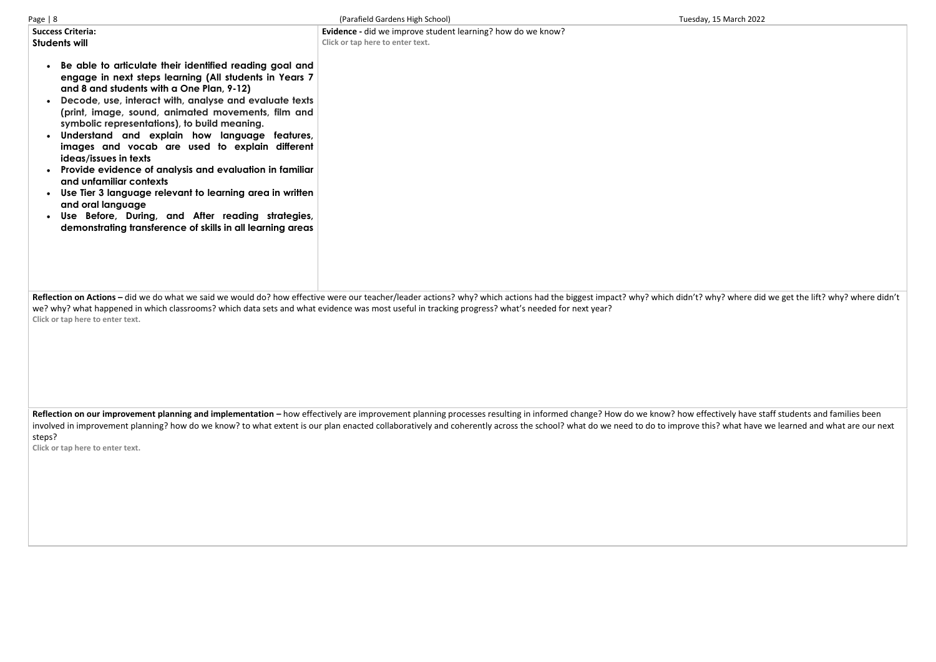| Page $ 8$                                                                                                                                                                                                                                                                                                                                                                                                                                                                                                                                                                 | (Parafield Gardens High School)                                                                                                                                                                                                                                                                                                             | Tuesday, 15 March 2022 |
|---------------------------------------------------------------------------------------------------------------------------------------------------------------------------------------------------------------------------------------------------------------------------------------------------------------------------------------------------------------------------------------------------------------------------------------------------------------------------------------------------------------------------------------------------------------------------|---------------------------------------------------------------------------------------------------------------------------------------------------------------------------------------------------------------------------------------------------------------------------------------------------------------------------------------------|------------------------|
| <b>Success Criteria:</b><br><b>Students will</b><br>Be able to articulate their identified reading goal and<br>engage in next steps learning (All students in Years 7<br>and 8 and students with a One Plan, 9-12)<br>Decode, use, interact with, analyse and evaluate texts<br>(print, image, sound, animated movements, film and<br>symbolic representations), to build meaning.<br>Understand and explain how language features,<br>images and vocab are used to explain different<br>ideas/issues in texts<br>Provide evidence of analysis and evaluation in familiar | Evidence - did we improve student learning? how do we know?<br>Click or tap here to enter text.                                                                                                                                                                                                                                             |                        |
| and unfamiliar contexts<br>Use Tier 3 language relevant to learning area in written<br>and oral language<br>Use Before, During, and After reading strategies,<br>demonstrating transference of skills in all learning areas                                                                                                                                                                                                                                                                                                                                               | Reflection on Actions - did we do what we said we would do? how effective were our teacher/leader actions? why? which actions had the biggest impact? why? which didn't? why? where dic<br>we? why? what happened in which classrooms? which data sets and what evidence was most useful in tracking progress? what's needed for next year? |                        |
| Click or tap here to enter text.                                                                                                                                                                                                                                                                                                                                                                                                                                                                                                                                          |                                                                                                                                                                                                                                                                                                                                             |                        |

Reflection on our improvement planning and implementation – how effectively are improvement planning processes resulting in informed change? How do we know? how effectively have staff students and families been involved in improvement planning? how do we know? to what extent is our plan enacted collaboratively and coherently across the school? what do we need to do to improve this? what have we learned and what are our next steps?

**Click or tap here to enter text.**

hy? where did we get the lift? why? where didn't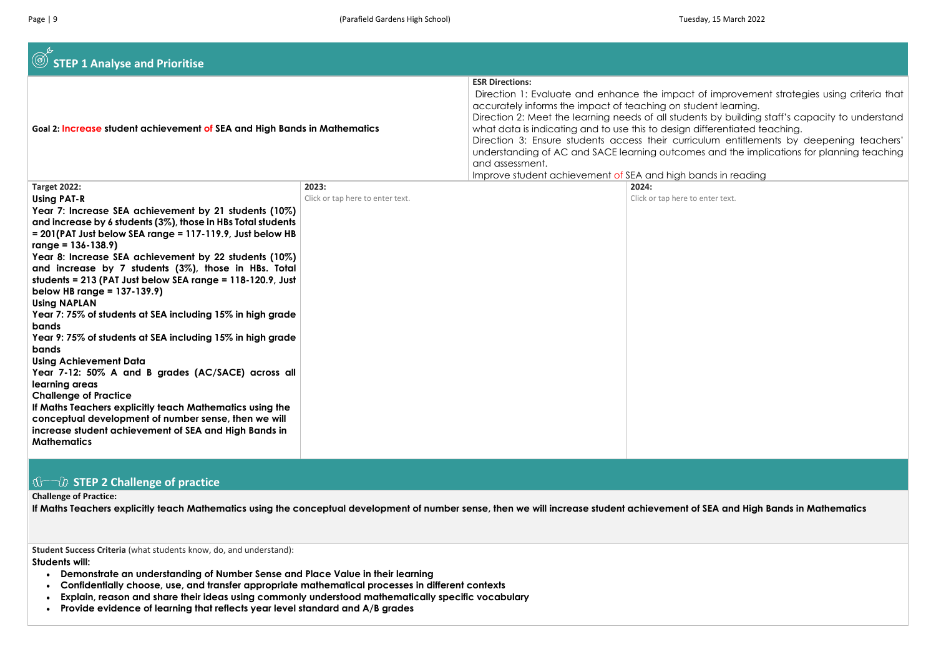| Goal 2: Increase student achievement of SEA and High Bands in Mathematics                                                                                                                                                                                                                                                                                                                                                                                                                                                                                                                                                                                                                                                                                                                                                                                                                                                                                                                       |                                           | <b>ESR Directions:</b><br>Direction 1: Evaluate and enhance the impact of i<br>accurately informs the impact of teaching on studer<br>Direction 2: Meet the learning needs of all students b<br>what data is indicating and to use this to design diffe<br>Direction 3: Ensure students access their curriculur<br>understanding of AC and SACE learning outcomes c<br>and assessment. |                                    |
|-------------------------------------------------------------------------------------------------------------------------------------------------------------------------------------------------------------------------------------------------------------------------------------------------------------------------------------------------------------------------------------------------------------------------------------------------------------------------------------------------------------------------------------------------------------------------------------------------------------------------------------------------------------------------------------------------------------------------------------------------------------------------------------------------------------------------------------------------------------------------------------------------------------------------------------------------------------------------------------------------|-------------------------------------------|----------------------------------------------------------------------------------------------------------------------------------------------------------------------------------------------------------------------------------------------------------------------------------------------------------------------------------------------------------------------------------------|------------------------------------|
| <b>Target 2022:</b><br><b>Using PAT-R</b><br>Year 7: Increase SEA achievement by 21 students (10%)<br>and increase by 6 students (3%), those in HBs Total students<br>= 201(PAT Just below SEA range = 117-119.9, Just below HB<br>$range = 136 - 138.9$<br>Year 8: Increase SEA achievement by 22 students (10%)<br>and increase by 7 students (3%), those in HBs. Total<br>students = $213$ (PAT Just below SEA range = $118-120.9$ , Just<br>below HB range = $137-139.9$ )<br><b>Using NAPLAN</b><br>Year 7: 75% of students at SEA including 15% in high grade<br>bands<br>Year 9: 75% of students at SEA including 15% in high grade<br>bands<br><b>Using Achievement Data</b><br>Year 7-12: 50% A and B grades (AC/SACE) across all<br>learning areas<br><b>Challenge of Practice</b><br>If Maths Teachers explicitly teach Mathematics using the<br>conceptual development of number sense, then we will<br>increase student achievement of SEA and High Bands in<br><b>Mathematics</b> | 2023:<br>Click or tap here to enter text. | Improve student achievement of SEA and high band                                                                                                                                                                                                                                                                                                                                       | 2024:<br>Click or tap here to ente |

### **10 The STEP 2 Challenge of practice**

**Challenge of Practice:**

**If Maths Teachers explicitly teach Mathematics using the conceptual development of number sense, then we will increase student achievement of SEA and High Bands in Mathematics** 

**Student Success Criteria** (what students know, do, and understand):

**Students will:** 

- **Demonstrate an understanding of Number Sense and Place Value in their learning**
- **Confidentially choose, use, and transfer appropriate mathematical processes in different contexts**
- **Explain, reason and share their ideas using commonly understood mathematically specific vocabulary**
- **Provide evidence of learning that reflects year level standard and A/B grades**

improvement strategies using criteria that at learning.

by building staff's capacity to understand erentiated teaching.

Im entitlements by deepening teachers' and the implications for planning teaching

ds in reading

er text.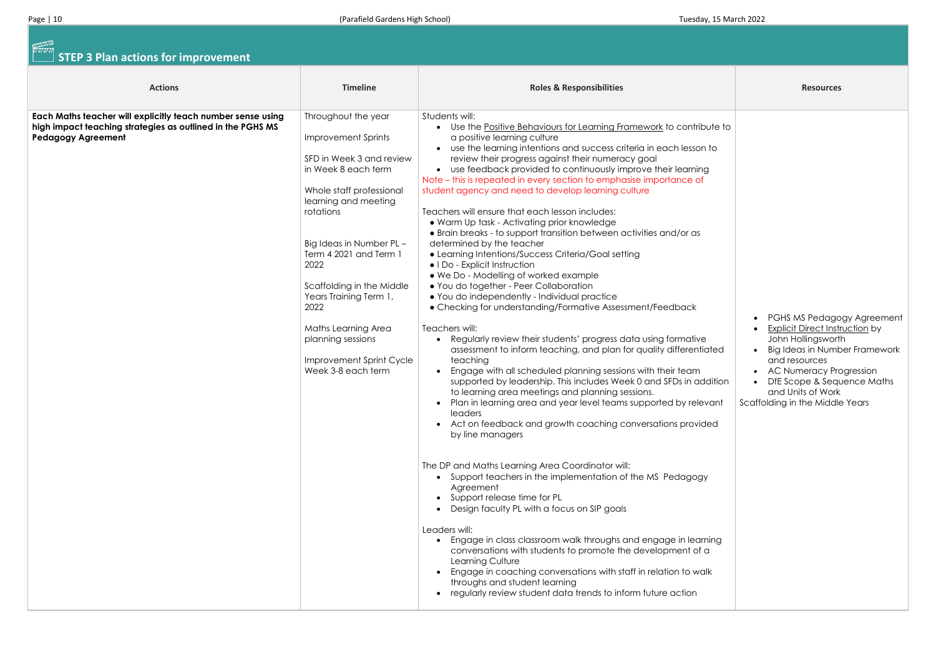# **STEP 3 Plan actions for improvement**

| <b>Actions</b>                                                                                                                                         | <b>Timeline</b>                                                                                                                                                                                                                                                                                                                                                                                 | <b>Roles &amp; Responsibilities</b>                                                                                                                                                                                                                                                                                                                                                                                                                                                                                                                                                                                                                                                                                                                                                                                                                                                                                                                                                                                                                                                                                                                                                                                                                                                                                                                                                                                                                                                                                                                                                                                                                                                                                                                                                                                                                                                                                                                                                                                                            | <b>Resources</b>                                                                                                                                                                                       |
|--------------------------------------------------------------------------------------------------------------------------------------------------------|-------------------------------------------------------------------------------------------------------------------------------------------------------------------------------------------------------------------------------------------------------------------------------------------------------------------------------------------------------------------------------------------------|------------------------------------------------------------------------------------------------------------------------------------------------------------------------------------------------------------------------------------------------------------------------------------------------------------------------------------------------------------------------------------------------------------------------------------------------------------------------------------------------------------------------------------------------------------------------------------------------------------------------------------------------------------------------------------------------------------------------------------------------------------------------------------------------------------------------------------------------------------------------------------------------------------------------------------------------------------------------------------------------------------------------------------------------------------------------------------------------------------------------------------------------------------------------------------------------------------------------------------------------------------------------------------------------------------------------------------------------------------------------------------------------------------------------------------------------------------------------------------------------------------------------------------------------------------------------------------------------------------------------------------------------------------------------------------------------------------------------------------------------------------------------------------------------------------------------------------------------------------------------------------------------------------------------------------------------------------------------------------------------------------------------------------------------|--------------------------------------------------------------------------------------------------------------------------------------------------------------------------------------------------------|
| Each Maths teacher will explicitly teach number sense using<br>high impact teaching strategies as outlined in the PGHS MS<br><b>Pedagogy Agreement</b> | Throughout the year<br><b>Improvement Sprints</b><br>SFD in Week 3 and review<br>in Week 8 each term<br>Whole staff professional<br>learning and meeting<br>rotations<br>Big Ideas in Number PL-<br>Term 4 2021 and Term 1<br>2022<br>Scaffolding in the Middle<br>Years Training Term 1,<br>2022<br>Maths Learning Area<br>planning sessions<br>Improvement Sprint Cycle<br>Week 3-8 each term | Students will:<br>• Use the Positive Behaviours for Learning Framework to contribute to<br>a positive learning culture<br>• use the learning intentions and success criteria in each lesson to<br>review their progress against their numeracy goal<br>• use feedback provided to continuously improve their learning<br>Note – this is repeated in every section to emphasise importance of<br>student agency and need to develop learning culture<br>Teachers will ensure that each lesson includes:<br>. Warm Up task - Activating prior knowledge<br>• Brain breaks - to support transition between activities and/or as<br>determined by the teacher<br>• Learning Intentions/Success Criteria/Goal setting<br>• I Do - Explicit Instruction<br>. We Do - Modelling of worked example<br>• You do together - Peer Collaboration<br>• You do independently - Individual practice<br>• Checking for understanding/Formative Assessment/Feedback<br>Teachers will:<br>Regularly review their students' progress data using formative<br>assessment to inform teaching, and plan for quality differentiated<br>teaching<br>Engage with all scheduled planning sessions with their team<br>supported by leadership. This includes Week 0 and SFDs in addition<br>to learning area meetings and planning sessions.<br>Plan in learning area and year level teams supported by relevant<br>leaders<br>• Act on feedback and growth coaching conversations provided<br>by line managers<br>The DP and Maths Learning Area Coordinator will:<br>• Support teachers in the implementation of the MS Pedagogy<br>Agreement<br>• Support release time for PL<br>Design faculty PL with a focus on SIP goals<br>Leaders will:<br>Engage in class classroom walk throughs and engage in learning<br>conversations with students to promote the development of a<br>Learning Culture<br>Engage in coaching conversations with staff in relation to walk<br>throughs and student learning<br>regularly review student data trends to inform future action | PGHS MS Pedago<br><b>Explicit Direct Instr</b><br>John Hollingswort<br>Big Ideas in Numb<br>and resources<br>• AC Numeracy Pro<br>• DfE Scope & Sequ<br>and Units of Work<br>Scaffolding in the Middle |

|                              | <b>Resources</b>                                                                                                                                                                                                                                                    |
|------------------------------|---------------------------------------------------------------------------------------------------------------------------------------------------------------------------------------------------------------------------------------------------------------------|
| ∪te to<br>$\mathsf{to}$<br>J |                                                                                                                                                                                                                                                                     |
| ated<br>dition<br>ant/<br>ed | PGHS MS Pedagogy Agreement<br><b>Explicit Direct Instruction by</b><br>John Hollingsworth<br>Big Ideas in Number Framework<br>and resources<br><b>AC Numeracy Progression</b><br>DfE Scope & Sequence Maths<br>and Units of Work<br>Scaffolding in the Middle Years |
| ing<br>J<br>k                |                                                                                                                                                                                                                                                                     |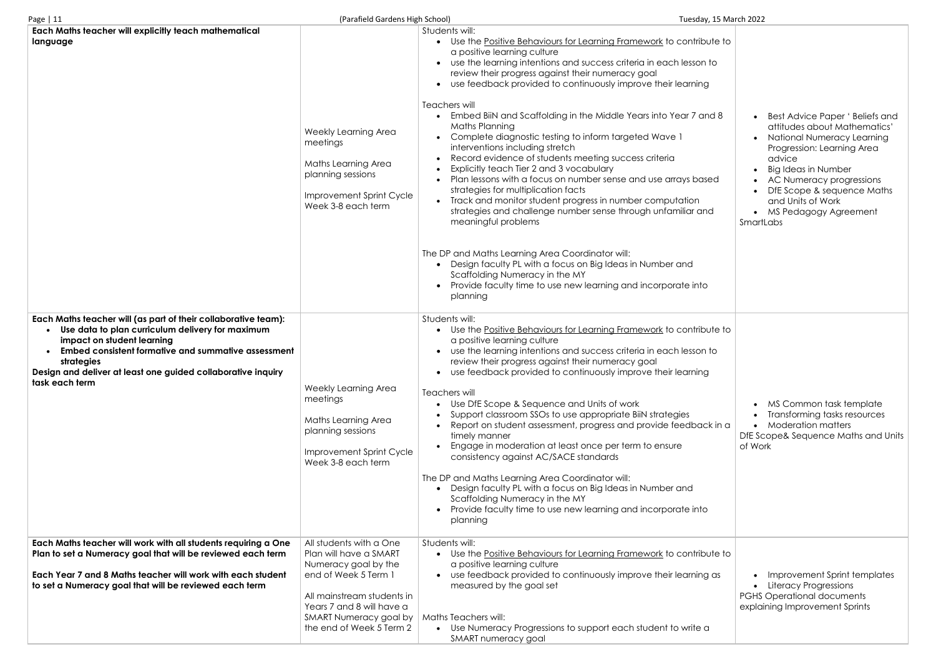| Page   $11$                                                                                                                                                                                                                                                                                             | (Parafield Gardens High School)                                                                                                                                                                                    |                                                                                                                                                                                                                                                                                                                                                                                                                                                                                                                                                                                                                                                                                                                                                                                                                                                                                                                                                                                                                                                                                                                      | Tuesday, 15 March 2022     |
|---------------------------------------------------------------------------------------------------------------------------------------------------------------------------------------------------------------------------------------------------------------------------------------------------------|--------------------------------------------------------------------------------------------------------------------------------------------------------------------------------------------------------------------|----------------------------------------------------------------------------------------------------------------------------------------------------------------------------------------------------------------------------------------------------------------------------------------------------------------------------------------------------------------------------------------------------------------------------------------------------------------------------------------------------------------------------------------------------------------------------------------------------------------------------------------------------------------------------------------------------------------------------------------------------------------------------------------------------------------------------------------------------------------------------------------------------------------------------------------------------------------------------------------------------------------------------------------------------------------------------------------------------------------------|----------------------------|
| Each Maths teacher will explicitly teach mathematical<br>language                                                                                                                                                                                                                                       | Weekly Learning Area<br>meetings<br>Maths Learning Area<br>planning sessions<br>Improvement Sprint Cycle<br>Week 3-8 each term                                                                                     | Students will:<br>• Use the Positive Behaviours for Learning Framework to contribute to<br>a positive learning culture<br>use the learning intentions and success criteria in each lesson to<br>review their progress against their numeracy goal<br>use feedback provided to continuously improve their learning<br>Teachers will<br>Embed BilN and Scaffolding in the Middle Years into Year 7 and 8<br>Maths Planning<br>Complete diagnostic testing to inform targeted Wave 1<br>interventions including stretch<br>Record evidence of students meeting success criteria<br>Explicitly teach Tier 2 and 3 vocabulary<br>Plan lessons with a focus on number sense and use arrays based<br>strategies for multiplication facts<br>Track and monitor student progress in number computation<br>strategies and challenge number sense through unfamiliar and<br>meaningful problems<br>The DP and Maths Learning Area Coordinator will:<br>Design faculty PL with a focus on Big Ideas in Number and<br>Scaffolding Numeracy in the MY<br>Provide faculty time to use new learning and incorporate into<br>planning | Smartl                     |
| Each Maths teacher will (as part of their collaborative team):<br>Use data to plan curriculum delivery for maximum<br>impact on student learning<br>Embed consistent formative and summative assessment<br>strategies<br>Design and deliver at least one guided collaborative inquiry<br>task each term | Weekly Learning Area<br>meetings<br>Maths Learning Area<br>planning sessions<br>Improvement Sprint Cycle<br>Week 3-8 each term                                                                                     | Students will:<br>Use the Positive Behaviours for Learning Framework to contribute to<br>a positive learning culture<br>use the learning intentions and success criteria in each lesson to<br>review their progress against their numeracy goal<br>• use feedback provided to continuously improve their learning<br>Teachers will<br>Use DfE Scope & Sequence and Units of work<br>Support classroom SSOs to use appropriate BiJN strategies<br>Report on student assessment, progress and provide feedback in a<br>timely manner<br>Engage in moderation at least once per term to ensure<br>consistency against AC/SACE standards<br>The DP and Maths Learning Area Coordinator will:<br>Design faculty PL with a focus on Big Ideas in Number and<br>Scaffolding Numeracy in the MY<br>Provide faculty time to use new learning and incorporate into<br>planning                                                                                                                                                                                                                                                 | DfE <sub>Sc</sub><br>of Wo |
| Each Maths teacher will work with all students requiring a One<br>Plan to set a Numeracy goal that will be reviewed each term<br>Each Year 7 and 8 Maths teacher will work with each student<br>to set a Numeracy goal that will be reviewed each term                                                  | All students with a One<br>Plan will have a SMART<br>Numeracy goal by the<br>end of Week 5 Term 1<br>All mainstream students in<br>Years 7 and 8 will have a<br>SMART Numeracy goal by<br>the end of Week 5 Term 2 | Students will:<br>Use the Positive Behaviours for Learning Framework to contribute to<br>a positive learning culture<br>use feedback provided to continuously improve their learning as<br>measured by the goal set<br>Maths Teachers will:<br>• Use Numeracy Progressions to support each student to write a<br>SMART numeracy goal                                                                                                                                                                                                                                                                                                                                                                                                                                                                                                                                                                                                                                                                                                                                                                                 | <b>PGHS</b><br>explai      |

| ∪te to |                                                                                                                                                                     |
|--------|---------------------------------------------------------------------------------------------------------------------------------------------------------------------|
| to     |                                                                                                                                                                     |
|        |                                                                                                                                                                     |
| d 8    | Best Advice Paper ' Beliefs and<br>attitudes about Mathematics'<br>National Numeracy Learning<br>Progression: Learning Area<br>advice<br><b>Big Ideas in Number</b> |
| ed     | AC Numeracy progressions<br>DfE Scope & sequence Maths                                                                                                              |
| d      | and Units of Work<br>MS Pedagogy Agreement<br>SmartLabs                                                                                                             |
|        |                                                                                                                                                                     |
| ∪te to |                                                                                                                                                                     |
| to     |                                                                                                                                                                     |
| ļ      |                                                                                                                                                                     |
| k in a | MS Common task template<br>Transforming tasks resources<br><b>Moderation matters</b><br>DfE Scope& Sequence Maths and Units<br>of Work                              |
|        |                                                                                                                                                                     |
| ∪te to |                                                                                                                                                                     |
| as p   | <b>Improvement Sprint templates</b><br>Literacy Progressions<br><b>PGHS Operational documents</b><br>explaining Improvement Sprints                                 |
| ĭ      |                                                                                                                                                                     |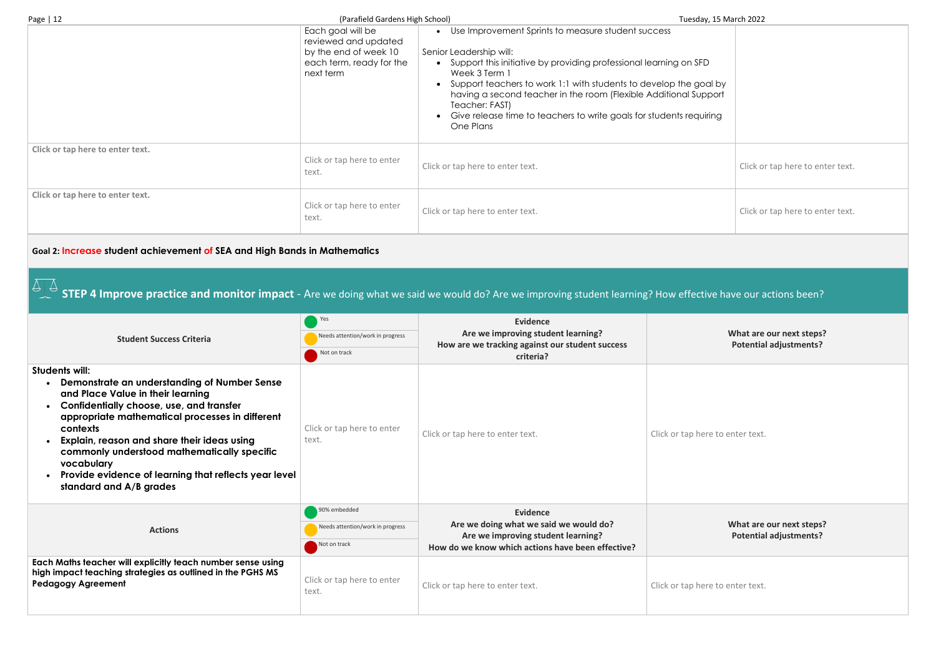| Page $ 12 $                      | (Parafield Gardens High School)                                                                             | Tuesday, 15 March 2022                                                                                                                                                                                                                                                                                                                                                                                                 |                                  |
|----------------------------------|-------------------------------------------------------------------------------------------------------------|------------------------------------------------------------------------------------------------------------------------------------------------------------------------------------------------------------------------------------------------------------------------------------------------------------------------------------------------------------------------------------------------------------------------|----------------------------------|
|                                  | Each goal will be<br>reviewed and updated<br>by the end of week 10<br>each term, ready for the<br>next term | • Use Improvement Sprints to measure student success<br>Senior Leadership will:<br>Support this initiative by providing professional learning on SFD<br>Week 3 Term 1<br>• Support teachers to work 1:1 with students to develop the goal by<br>having a second teacher in the room (Flexible Additional Support<br>Teacher: FAST)<br>Give release time to teachers to write goals for students requiring<br>One Plans |                                  |
| Click or tap here to enter text. | Click or tap here to enter<br>text.                                                                         | Click or tap here to enter text.                                                                                                                                                                                                                                                                                                                                                                                       | Click or tap here to enter text. |
| Click or tap here to enter text. | Click or tap here to enter<br>text.                                                                         | Click or tap here to enter text.                                                                                                                                                                                                                                                                                                                                                                                       | Click or tap here to enter text. |

#### **Goal 2: Increase student achievement of SEA and High Bands in Mathematics**

**STEP 4 Improve practice and monitor impact** - Are we doing what we said we would do? Are we improving student learning? How effective have our actions been?

**What are our next steps? Potential adjustments?**

re to enter text.

| <b>Student Success Criteria</b>                                                                                                                                                                                                                                                                                                                                                                                             | Yes<br>Needs attention/work in progress<br>Not on track          | Evidence<br>Are we improving student learning?<br>How are we tracking against our student success<br>criteria?                                       |                  |
|-----------------------------------------------------------------------------------------------------------------------------------------------------------------------------------------------------------------------------------------------------------------------------------------------------------------------------------------------------------------------------------------------------------------------------|------------------------------------------------------------------|------------------------------------------------------------------------------------------------------------------------------------------------------|------------------|
| Students will:<br>Demonstrate an understanding of Number Sense<br>and Place Value in their learning<br>Confidentially choose, use, and transfer<br>$\bullet$<br>appropriate mathematical processes in different<br>contexts<br>Explain, reason and share their ideas using<br>commonly understood mathematically specific<br>vocabulary<br>Provide evidence of learning that reflects year level<br>standard and A/B grades | Click or tap here to enter<br>text.                              | Click or tap here to enter text.                                                                                                                     | Click or tap her |
| <b>Actions</b>                                                                                                                                                                                                                                                                                                                                                                                                              | 90% embedded<br>Needs attention/work in progress<br>Not on track | <b>Evidence</b><br>Are we doing what we said we would do?<br>Are we improving student learning?<br>How do we know which actions have been effective? |                  |
| Each Maths teacher will explicitly teach number sense using<br>high impact teaching strategies as outlined in the PGHS MS<br><b>Pedagogy Agreement</b>                                                                                                                                                                                                                                                                      | Click or tap here to enter<br>text.                              | Click or tap here to enter text.                                                                                                                     | Click or tap her |

| )             |                                  |
|---------------|----------------------------------|
| al by<br>port |                                  |
| ring          |                                  |
|               |                                  |
|               | Click or tap here to enter text. |
|               | Click or tap here to enter text. |

**What are our next steps? Potential adjustments?**

re to enter text.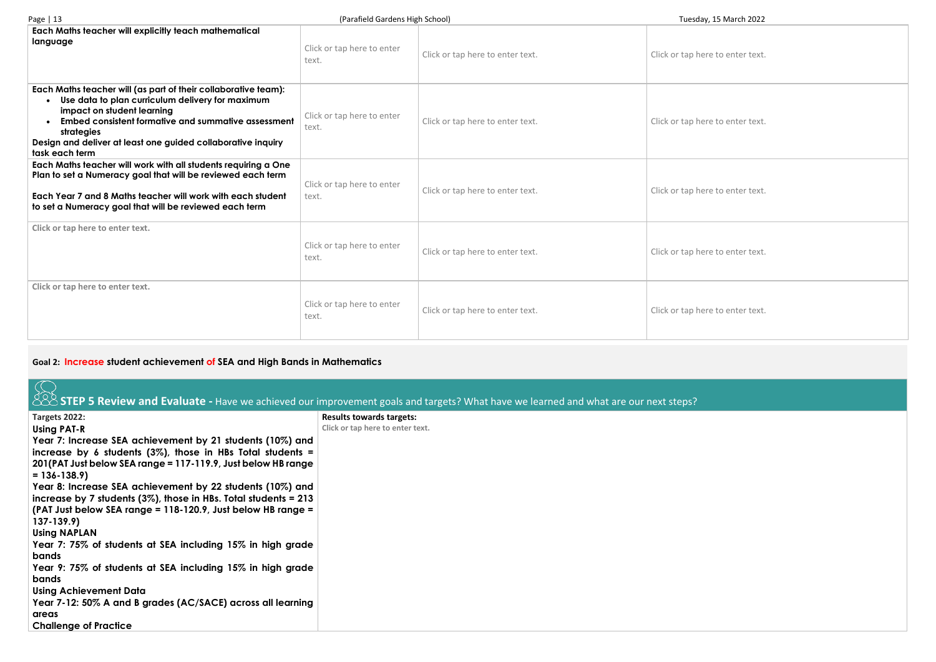| Page   13                                                                                                                                                                                                                                                                                                      | (Parafield Gardens High School)     |                                  | Tuesday, 15 March 2022           |
|----------------------------------------------------------------------------------------------------------------------------------------------------------------------------------------------------------------------------------------------------------------------------------------------------------------|-------------------------------------|----------------------------------|----------------------------------|
| <b>Each Maths teacher will explicitly teach mathematical</b><br>language                                                                                                                                                                                                                                       | Click or tap here to enter<br>text. | Click or tap here to enter text. | Click or tap here to enter text. |
| Each Maths teacher will (as part of their collaborative team):<br>Use data to plan curriculum delivery for maximum<br>impact on student learning<br><b>Embed consistent formative and summative assessment</b><br>strategies<br>Design and deliver at least one guided collaborative inquiry<br>task each term | Click or tap here to enter<br>text. | Click or tap here to enter text. | Click or tap here to enter text. |
| Each Maths teacher will work with all students requiring a One<br>Plan to set a Numeracy goal that will be reviewed each term<br>Each Year 7 and 8 Maths teacher will work with each student<br>to set a Numeracy goal that will be reviewed each term                                                         | Click or tap here to enter<br>text. | Click or tap here to enter text. | Click or tap here to enter text  |
| Click or tap here to enter text.                                                                                                                                                                                                                                                                               | Click or tap here to enter<br>text. | Click or tap here to enter text. | Click or tap here to enter text  |
| Click or tap here to enter text.                                                                                                                                                                                                                                                                               | Click or tap here to enter<br>text. | Click or tap here to enter text. | Click or tap here to enter text  |

## **Goal 2: Increase student achievement of SEA and High Bands in Mathematics**

|                                                                     | STEP 5 Review and Evaluate - Have we achieved our improvement goals and targets? What have we learned and what are our next steps? |
|---------------------------------------------------------------------|------------------------------------------------------------------------------------------------------------------------------------|
| Targets 2022:                                                       | <b>Results towards targets:</b>                                                                                                    |
| <b>Using PAT-R</b>                                                  | Click or tap here to enter text.                                                                                                   |
| Year 7: Increase SEA achievement by 21 students (10%) and           |                                                                                                                                    |
| increase by 6 students $(3\%)$ , those in HBs Total students =      |                                                                                                                                    |
| 201 (PAT Just below SEA range = 117-119.9, Just below HB range      |                                                                                                                                    |
| $= 136 - 138.9$                                                     |                                                                                                                                    |
| Year 8: Increase SEA achievement by 22 students (10%) and           |                                                                                                                                    |
| increase by 7 students $(3\%)$ , those in HBs. Total students = 213 |                                                                                                                                    |
| (PAT Just below SEA range = 118-120.9, Just below HB range =        |                                                                                                                                    |
| $137 - 139.9$                                                       |                                                                                                                                    |
| <b>Using NAPLAN</b>                                                 |                                                                                                                                    |
| Year 7: 75% of students at SEA including 15% in high grade          |                                                                                                                                    |
| bands                                                               |                                                                                                                                    |
| Year 9: 75% of students at SEA including 15% in high grade          |                                                                                                                                    |
| bands                                                               |                                                                                                                                    |
| <b>Using Achievement Data</b>                                       |                                                                                                                                    |
| Year 7-12: 50% A and B grades (AC/SACE) across all learning         |                                                                                                                                    |
| areas                                                               |                                                                                                                                    |
| <b>Challenge of Practice</b>                                        |                                                                                                                                    |

ere to enter text.

ere to enter text.

ere to enter text.

ere to enter text.

ere to enter text.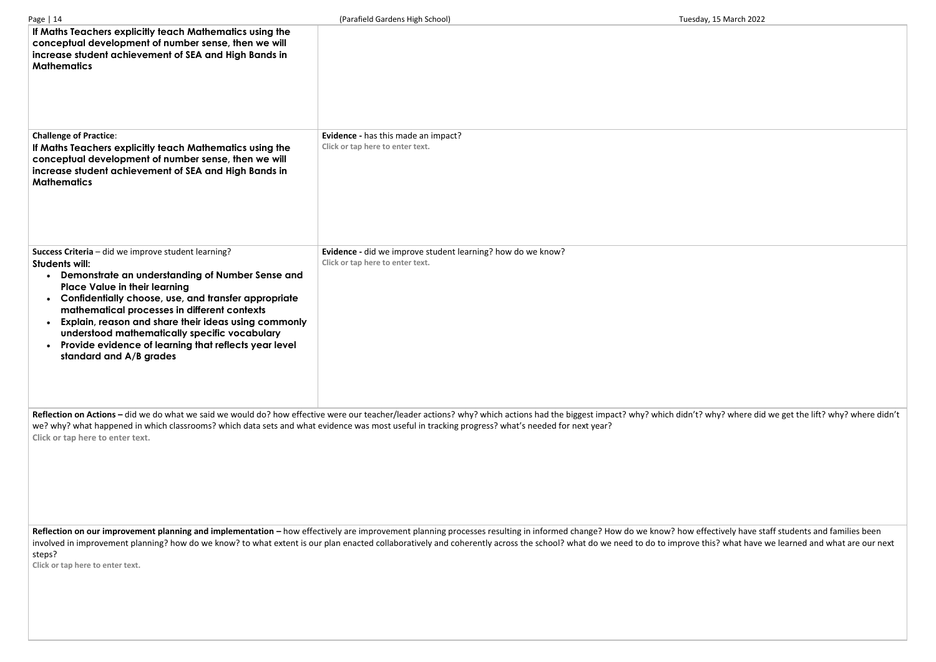| Page   14                                                                                                                                                                                                                                                                                                                                                                                                                                                                                  | (Parafield Gardens High School)                                                                                                                                                                                                                                                                                                             | Tuesday, 15 March 2022 |
|--------------------------------------------------------------------------------------------------------------------------------------------------------------------------------------------------------------------------------------------------------------------------------------------------------------------------------------------------------------------------------------------------------------------------------------------------------------------------------------------|---------------------------------------------------------------------------------------------------------------------------------------------------------------------------------------------------------------------------------------------------------------------------------------------------------------------------------------------|------------------------|
| If Maths Teachers explicitly teach Mathematics using the<br>conceptual development of number sense, then we will<br>increase student achievement of SEA and High Bands in<br><b>Mathematics</b>                                                                                                                                                                                                                                                                                            |                                                                                                                                                                                                                                                                                                                                             |                        |
| <b>Challenge of Practice:</b><br>If Maths Teachers explicitly teach Mathematics using the<br>conceptual development of number sense, then we will<br>increase student achievement of SEA and High Bands in<br><b>Mathematics</b>                                                                                                                                                                                                                                                           | Evidence - has this made an impact?<br>Click or tap here to enter text.                                                                                                                                                                                                                                                                     |                        |
| Success Criteria - did we improve student learning?<br><b>Students will:</b><br>Demonstrate an understanding of Number Sense and<br>$\bullet$<br><b>Place Value in their learning</b><br>Confidentially choose, use, and transfer appropriate<br>mathematical processes in different contexts<br>Explain, reason and share their ideas using commonly<br>understood mathematically specific vocabulary<br>Provide evidence of learning that reflects year level<br>standard and A/B grades | Evidence - did we improve student learning? how do we know?<br>Click or tap here to enter text.                                                                                                                                                                                                                                             |                        |
| Click or tap here to enter text.                                                                                                                                                                                                                                                                                                                                                                                                                                                           | Reflection on Actions - did we do what we said we would do? how effective were our teacher/leader actions? why? which actions had the biggest impact? why? which didn't? why? where dic<br>we? why? what happened in which classrooms? which data sets and what evidence was most useful in tracking progress? what's needed for next year? |                        |

Reflection on our improvement planning and implementation – how effectively are improvement planning processes resulting in informed change? How do we know? how effectively have staff students and families been involved in improvement planning? how do we know? to what extent is our plan enacted collaboratively and coherently across the school? what do we need to do to improve this? what have we learned and what are our next steps?

**Click or tap here to enter text.**

why? where did we get the lift? why? where didn't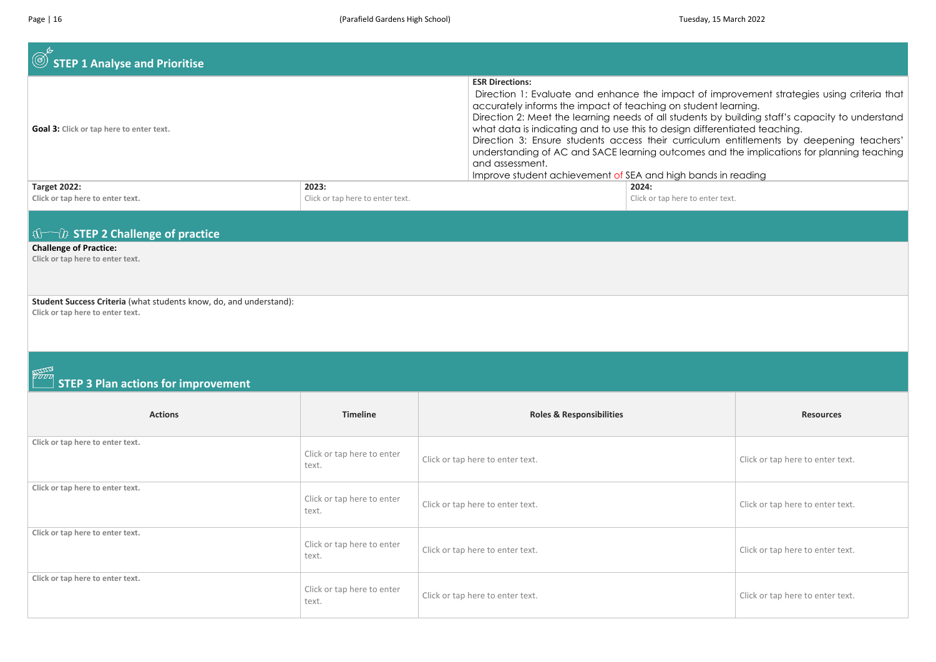| $\circledcirc$ STEP 1 Analyse and Prioritise                                                           |                                           |                                                                                                                                                                                                                                                           |                                           |                                                                                                                                                                                                                                                                                                                                                                                        |
|--------------------------------------------------------------------------------------------------------|-------------------------------------------|-----------------------------------------------------------------------------------------------------------------------------------------------------------------------------------------------------------------------------------------------------------|-------------------------------------------|----------------------------------------------------------------------------------------------------------------------------------------------------------------------------------------------------------------------------------------------------------------------------------------------------------------------------------------------------------------------------------------|
| Goal 3: Click or tap here to enter text.                                                               |                                           | <b>ESR Directions:</b><br>accurately informs the impact of teaching on student learning.<br>what data is indicating and to use this to design differentiated teaching.<br>and assessment.<br>Improve student achievement of SEA and high bands in reading |                                           | Direction 1: Evaluate and enhance the impact of improvement strategies using criteria that<br>Direction 2: Meet the learning needs of all students by building staff's capacity to understand<br>Direction 3: Ensure students access their curriculum entitlements by deepening teachers'<br>understanding of AC and SACE learning outcomes and the implications for planning teaching |
| <b>Target 2022:</b><br>Click or tap here to enter text.                                                | 2023:<br>Click or tap here to enter text. |                                                                                                                                                                                                                                                           | 2024:<br>Click or tap here to enter text. |                                                                                                                                                                                                                                                                                                                                                                                        |
| $\sqrt{1-\mu}$ STEP 2 Challenge of practice                                                            |                                           |                                                                                                                                                                                                                                                           |                                           |                                                                                                                                                                                                                                                                                                                                                                                        |
| <b>Challenge of Practice:</b><br>Click or tap here to enter text.                                      |                                           |                                                                                                                                                                                                                                                           |                                           |                                                                                                                                                                                                                                                                                                                                                                                        |
| Student Success Criteria (what students know, do, and understand):<br>Click or tap here to enter text. |                                           |                                                                                                                                                                                                                                                           |                                           |                                                                                                                                                                                                                                                                                                                                                                                        |
| <b>NATION</b>                                                                                          |                                           |                                                                                                                                                                                                                                                           |                                           |                                                                                                                                                                                                                                                                                                                                                                                        |
| <b>STEP 3 Plan actions for improvement</b>                                                             |                                           |                                                                                                                                                                                                                                                           |                                           |                                                                                                                                                                                                                                                                                                                                                                                        |
| <b>Actions</b>                                                                                         | <b>Timeline</b>                           | <b>Roles &amp; Responsibilities</b>                                                                                                                                                                                                                       |                                           | <b>Resources</b>                                                                                                                                                                                                                                                                                                                                                                       |
| Click or tap here to enter text.                                                                       | Click or tap here to enter<br>text.       | Click or tap here to enter text.                                                                                                                                                                                                                          |                                           | Click or tap here to enter text.                                                                                                                                                                                                                                                                                                                                                       |
| Click or tap here to enter text.                                                                       | Click or tap here to enter<br>text.       | Click or tap here to enter text.                                                                                                                                                                                                                          |                                           | Click or tap here to enter text.                                                                                                                                                                                                                                                                                                                                                       |
| Click or tap here to enter text.                                                                       | Click or tap here to enter<br>text.       | Click or tap here to enter text.                                                                                                                                                                                                                          |                                           | Click or tap here to enter text.                                                                                                                                                                                                                                                                                                                                                       |
| Click or tap here to enter text.                                                                       | Click or tap here to enter<br>text.       | Click or tap here to enter text.                                                                                                                                                                                                                          |                                           | Click or tap here to enter text.                                                                                                                                                                                                                                                                                                                                                       |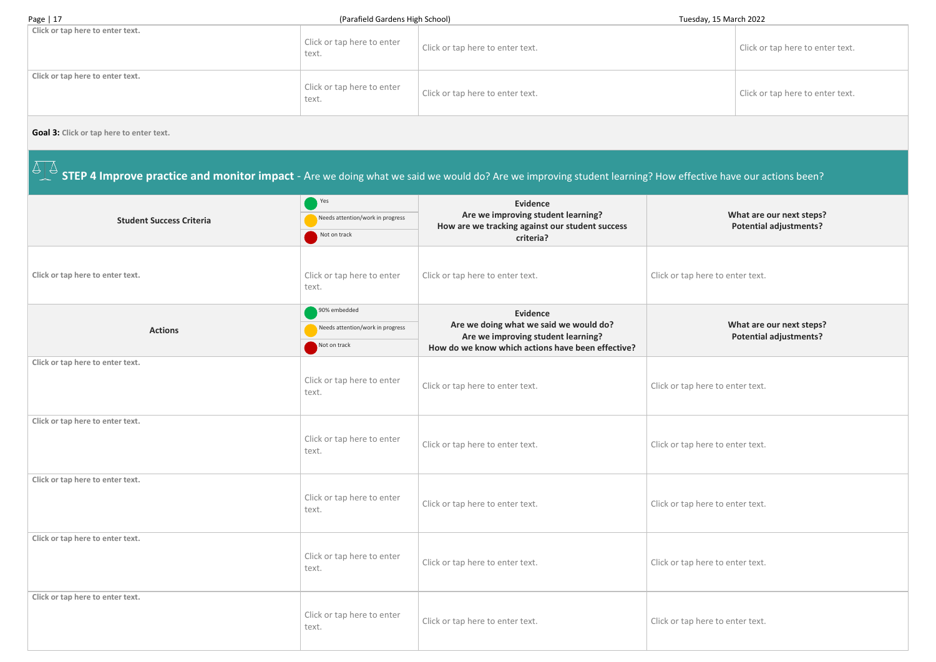Page | 17 Tuesday, 15 March 2022 **Click or tap here to enter text.** Click or tap here to enter text. Click or tap here to enter text. **Click or tap here to enter text.** Click or tap here to enter text. Click or tap here to enter text.

#### **Goal 3: Click or tap here to enter text.**

 **STEP 4 Improve practice and monitor impact** - Are we doing what we said we would do? Are we improving student learning? How effective have our actions been?

**What are our next steps? Potential adjustments?**

re to enter text.

#### **What are our next steps? Potential adjustments?**

re to enter text.

re to enter text.

re to enter text.

re to enter text.

re to enter text.

|                                  | Yes                                 | <b>Evidence</b>                                                                         |                  |  |
|----------------------------------|-------------------------------------|-----------------------------------------------------------------------------------------|------------------|--|
| <b>Student Success Criteria</b>  | Needs attention/work in progress    | Are we improving student learning?<br>How are we tracking against our student success   |                  |  |
|                                  | Not on track                        | criteria?                                                                               |                  |  |
|                                  |                                     |                                                                                         |                  |  |
| Click or tap here to enter text. | Click or tap here to enter          | Click or tap here to enter text.                                                        | Click or tap her |  |
|                                  | text.                               |                                                                                         |                  |  |
|                                  | 90% embedded                        | <b>Evidence</b>                                                                         |                  |  |
| <b>Actions</b>                   | Needs attention/work in progress    | Are we doing what we said we would do?                                                  |                  |  |
|                                  | Not on track                        | Are we improving student learning?<br>How do we know which actions have been effective? |                  |  |
| Click or tap here to enter text. |                                     |                                                                                         |                  |  |
|                                  | Click or tap here to enter          | Click or tap here to enter text.                                                        | Click or tap her |  |
|                                  | text.                               |                                                                                         |                  |  |
| Click or tap here to enter text. |                                     |                                                                                         |                  |  |
|                                  | Click or tap here to enter          |                                                                                         |                  |  |
|                                  | text.                               | Click or tap here to enter text.                                                        | Click or tap her |  |
|                                  |                                     |                                                                                         |                  |  |
| Click or tap here to enter text. |                                     |                                                                                         |                  |  |
|                                  | Click or tap here to enter<br>text. | Click or tap here to enter text.                                                        | Click or tap her |  |
|                                  |                                     |                                                                                         |                  |  |
| Click or tap here to enter text. |                                     |                                                                                         |                  |  |
|                                  | Click or tap here to enter          | Click or tap here to enter text.                                                        | Click or tap her |  |
|                                  | text.                               |                                                                                         |                  |  |
| Click or tap here to enter text. |                                     |                                                                                         |                  |  |
|                                  | Click or tap here to enter          |                                                                                         |                  |  |
|                                  | text.                               | Click or tap here to enter text.                                                        | Click or tap her |  |
|                                  |                                     |                                                                                         |                  |  |

| Click or tap here to enter text. |  |
|----------------------------------|--|
| Click or tap here to enter text. |  |